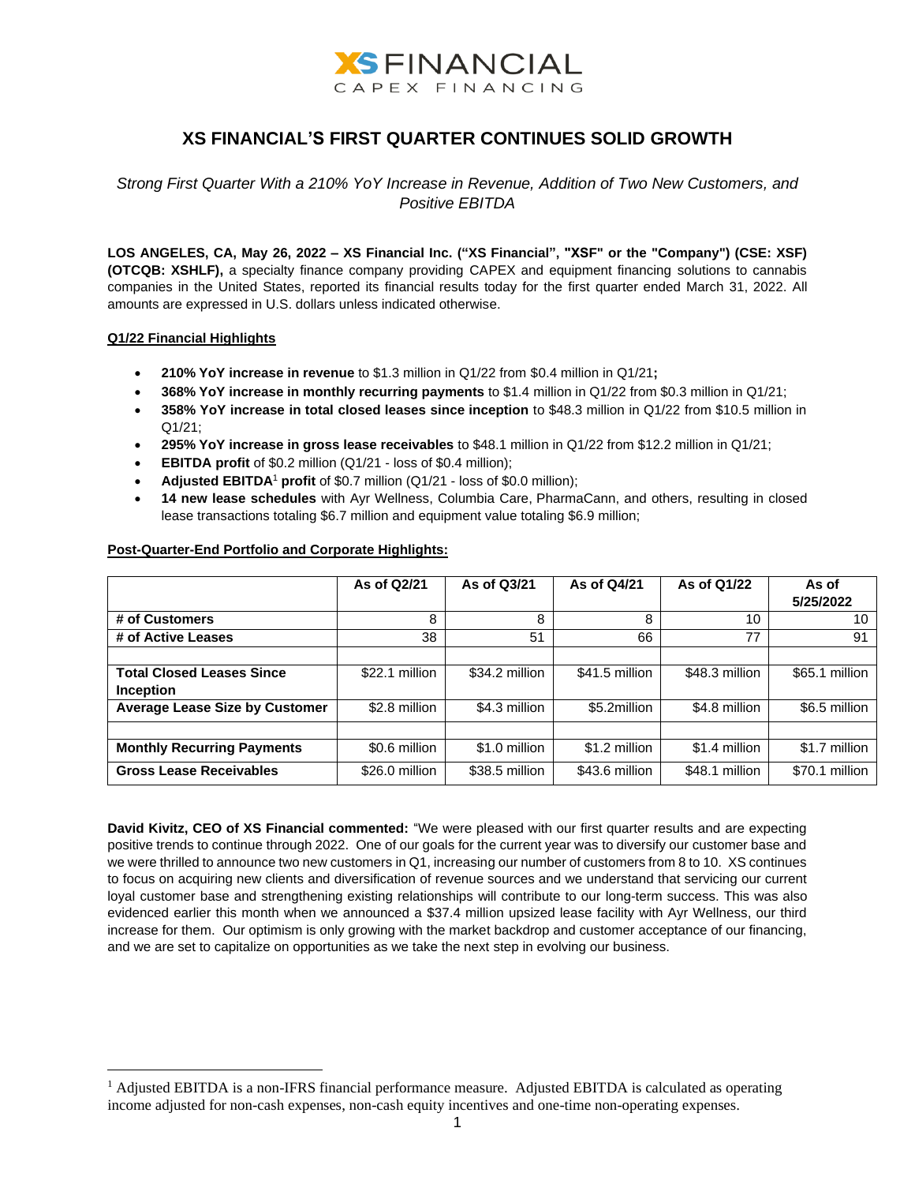

# **XS FINANCIAL'S FIRST QUARTER CONTINUES SOLID GROWTH**

*Strong First Quarter With a 210% YoY Increase in Revenue, Addition of Two New Customers, and Positive EBITDA*

**LOS ANGELES, CA, May 26, 2022 – XS Financial Inc. ("XS Financial", "XSF" or the "Company") (CSE: XSF) (OTCQB: XSHLF),** a specialty finance company providing CAPEX and equipment financing solutions to cannabis companies in the United States, reported its financial results today for the first quarter ended March 31, 2022. All amounts are expressed in U.S. dollars unless indicated otherwise.

### **Q1/22 Financial Highlights**

- **210% YoY increase in revenue** to \$1.3 million in Q1/22 from \$0.4 million in Q1/21**;**
- **368% YoY increase in monthly recurring payments** to \$1.4 million in Q1/22 from \$0.3 million in Q1/21;
- **358% YoY increase in total closed leases since inception** to \$48.3 million in Q1/22 from \$10.5 million in Q1/21;
- **295% YoY increase in gross lease receivables** to \$48.1 million in Q1/22 from \$12.2 million in Q1/21;
- **EBITDA profit** of \$0.2 million (Q1/21 loss of \$0.4 million);
- **Adjusted EBITDA**<sup>1</sup> **profit** of \$0.7 million (Q1/21 loss of \$0.0 million);
- **14 new lease schedules** with Ayr Wellness, Columbia Care, PharmaCann, and others, resulting in closed lease transactions totaling \$6.7 million and equipment value totaling \$6.9 million;

|                                       | As of Q2/21    | As of Q3/21    | As of Q4/21    | As of Q1/22    | As of<br>5/25/2022 |
|---------------------------------------|----------------|----------------|----------------|----------------|--------------------|
| # of Customers                        | 8              | 8              | 8              | 10             | 10                 |
| # of Active Leases                    | 38             | 51             | 66             | 77             | 91                 |
|                                       |                |                |                |                |                    |
| <b>Total Closed Leases Since</b>      | \$22.1 million | \$34.2 million | \$41.5 million | \$48.3 million | \$65.1 million     |
| <b>Inception</b>                      |                |                |                |                |                    |
| <b>Average Lease Size by Customer</b> | \$2.8 million  | \$4.3 million  | \$5.2million   | \$4.8 million  | \$6.5 million      |
|                                       |                |                |                |                |                    |
| <b>Monthly Recurring Payments</b>     | \$0.6 million  | \$1.0 million  | \$1.2 million  | \$1.4 million  | \$1.7 million      |
| <b>Gross Lease Receivables</b>        | \$26.0 million | \$38.5 million | \$43.6 million | \$48.1 million | \$70.1 million     |

# **Post-Quarter-End Portfolio and Corporate Highlights:**

**David Kivitz, CEO of XS Financial commented:** "We were pleased with our first quarter results and are expecting positive trends to continue through 2022. One of our goals for the current year was to diversify our customer base and we were thrilled to announce two new customers in Q1, increasing our number of customers from 8 to 10. XS continues to focus on acquiring new clients and diversification of revenue sources and we understand that servicing our current loyal customer base and strengthening existing relationships will contribute to our long-term success. This was also evidenced earlier this month when we announced a \$37.4 million upsized lease facility with Ayr Wellness, our third increase for them. Our optimism is only growing with the market backdrop and customer acceptance of our financing, and we are set to capitalize on opportunities as we take the next step in evolving our business.

<sup>&</sup>lt;sup>1</sup> Adjusted EBITDA is a non-IFRS financial performance measure. Adjusted EBITDA is calculated as operating income adjusted for non-cash expenses, non-cash equity incentives and one-time non-operating expenses.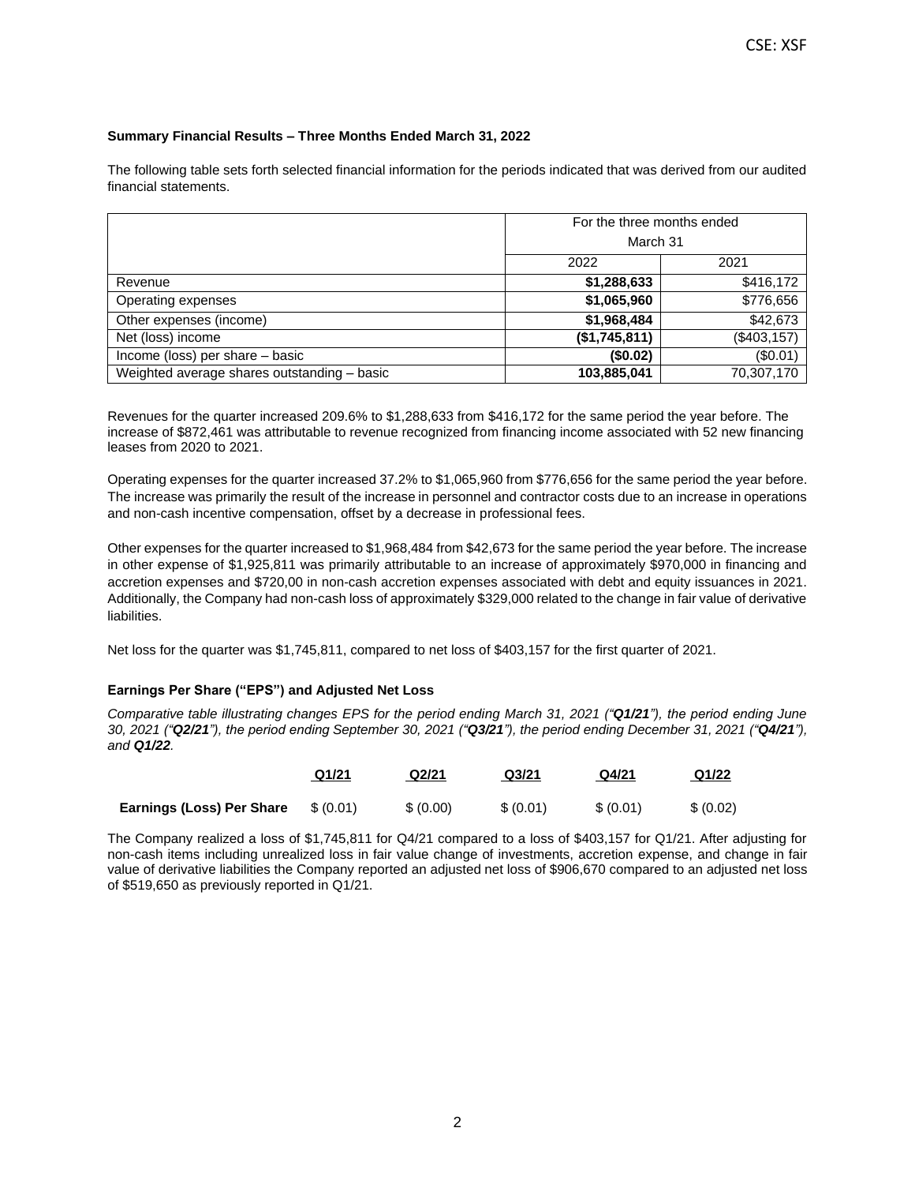## **Summary Financial Results – Three Months Ended March 31, 2022**

The following table sets forth selected financial information for the periods indicated that was derived from our audited financial statements.

|                                             | For the three months ended |              |  |  |
|---------------------------------------------|----------------------------|--------------|--|--|
|                                             |                            | March 31     |  |  |
|                                             | 2022                       | 2021         |  |  |
| Revenue                                     | \$1,288,633                | \$416,172    |  |  |
| Operating expenses                          | \$1,065,960                | \$776,656    |  |  |
| Other expenses (income)                     | \$1,968,484                | \$42,673     |  |  |
| Net (loss) income                           | (\$1,745,811)              | (\$403, 157) |  |  |
| Income (loss) per share - basic             | (\$0.02)                   | (\$0.01)     |  |  |
| Weighted average shares outstanding - basic | 103,885,041                | 70,307,170   |  |  |

Revenues for the quarter increased 209.6% to \$1,288,633 from \$416,172 for the same period the year before. The increase of \$872,461 was attributable to revenue recognized from financing income associated with 52 new financing leases from 2020 to 2021.

Operating expenses for the quarter increased 37.2% to \$1,065,960 from \$776,656 for the same period the year before. The increase was primarily the result of the increase in personnel and contractor costs due to an increase in operations and non-cash incentive compensation, offset by a decrease in professional fees.

Other expenses for the quarter increased to \$1,968,484 from \$42,673 for the same period the year before. The increase in other expense of \$1,925,811 was primarily attributable to an increase of approximately \$970,000 in financing and accretion expenses and \$720,00 in non-cash accretion expenses associated with debt and equity issuances in 2021. Additionally, the Company had non-cash loss of approximately \$329,000 related to the change in fair value of derivative liabilities.

Net loss for the quarter was \$1,745,811, compared to net loss of \$403,157 for the first quarter of 2021.

### **Earnings Per Share ("EPS") and Adjusted Net Loss**

*Comparative table illustrating changes EPS for the period ending March 31, 2021 ("Q1/21"), the period ending June 30, 2021 ("Q2/21"), the period ending September 30, 2021 ("Q3/21"), the period ending December 31, 2021 ("Q4/21"), and Q1/22.*

|                           | Q1/21    | Q2/21     | Q <sub>3</sub> /21 | Q4/21    | Q1/22     |
|---------------------------|----------|-----------|--------------------|----------|-----------|
| Earnings (Loss) Per Share | \$(0.01) | \$ (0.00) | \$ (0.01)          | \$(0.01) | \$ (0.02) |

The Company realized a loss of \$1,745,811 for Q4/21 compared to a loss of \$403,157 for Q1/21. After adjusting for non-cash items including unrealized loss in fair value change of investments, accretion expense, and change in fair value of derivative liabilities the Company reported an adjusted net loss of \$906,670 compared to an adjusted net loss of \$519,650 as previously reported in Q1/21.